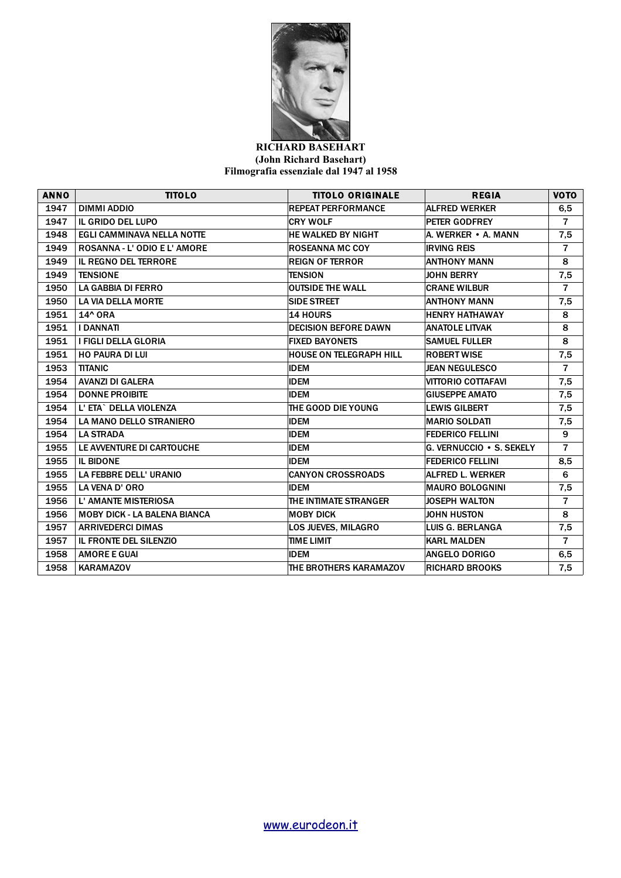

## **RICHARD BASEHART (John Richard Basehart) Filmografia essenziale dal 1947 al 1958**

| <b>ANNO</b> | <b>TITOLO</b>                       | <b>TITOLO ORIGINALE</b>        | <b>REGIA</b>             | <b>VOTO</b>    |
|-------------|-------------------------------------|--------------------------------|--------------------------|----------------|
| 1947        | DIMMI ADDIO                         | <b>REPEAT PERFORMANCE</b>      | <b>ALFRED WERKER</b>     | 6,5            |
| 1947        | IL GRIDO DEL LUPO                   | <b>CRY WOLF</b>                | <b>PETER GODFREY</b>     | $\overline{7}$ |
| 1948        | <b>EGLI CAMMINAVA NELLA NOTTE</b>   | <b>HE WALKED BY NIGHT</b>      | A. WERKER • A. MANN      | 7,5            |
| 1949        | <b>ROSANNA - L'ODIO E L'AMORE</b>   | <b>ROSEANNA MC COY</b>         | <b>IRVING REIS</b>       | $\overline{7}$ |
| 1949        | <b>IL REGNO DEL TERRORE</b>         | <b>REIGN OF TERROR</b>         | <b>ANTHONY MANN</b>      | 8              |
| 1949        | <b>TENSIONE</b>                     | <b>TENSION</b>                 | <b>JOHN BERRY</b>        | 7,5            |
| 1950        | <b>LA GABBIA DI FERRO</b>           | <b>OUTSIDE THE WALL</b>        | <b>CRANE WILBUR</b>      | $\overline{7}$ |
| 1950        | <b>LA VIA DELLA MORTE</b>           | <b>SIDE STREET</b>             | <b>ANTHONY MANN</b>      | 7,5            |
| 1951        | 14^ ORA                             | <b>14 HOURS</b>                | <b>HENRY HATHAWAY</b>    | 8              |
| 1951        | <b>I DANNATI</b>                    | <b>DECISION BEFORE DAWN</b>    | <b>ANATOLE LITVAK</b>    | 8              |
| 1951        | I FIGLI DELLA GLORIA                | <b>FIXED BAYONETS</b>          | <b>SAMUEL FULLER</b>     | 8              |
| 1951        | <b>HO PAURA DI LUI</b>              | <b>HOUSE ON TELEGRAPH HILL</b> | <b>ROBERT WISE</b>       | 7,5            |
| 1953        | <b>TITANIC</b>                      | <b>IDEM</b>                    | <b>JEAN NEGULESCO</b>    | $\overline{7}$ |
| 1954        | <b>AVANZI DI GALERA</b>             | <b>IDEM</b>                    | VITTORIO COTTAFAVI       | 7,5            |
| 1954        | <b>DONNE PROIBITE</b>               | <b>IDEM</b>                    | <b>GIUSEPPE AMATO</b>    | 7,5            |
| 1954        | L' ETA` DELLA VIOLENZA              | THE GOOD DIE YOUNG             | <b>LEWIS GILBERT</b>     | 7,5            |
| 1954        | <b>LA MANO DELLO STRANIERO</b>      | <b>IDEM</b>                    | <b>MARIO SOLDATI</b>     | 7,5            |
| 1954        | <b>LA STRADA</b>                    | <b>IDEM</b>                    | <b>FEDERICO FELLINI</b>  | 9              |
| 1955        | LE AVVENTURE DI CARTOUCHE           | <b>IDEM</b>                    | G. VERNUCCIO . S. SEKELY | $\overline{7}$ |
| 1955        | <b>IL BIDONE</b>                    | <b>IDEM</b>                    | <b>FEDERICO FELLINI</b>  | 8,5            |
| 1955        | LA FEBBRE DELL' URANIO              | <b>CANYON CROSSROADS</b>       | ALFRED L. WERKER         | 6              |
| 1955        | LA VENA D' ORO                      | <b>IDEM</b>                    | <b>MAURO BOLOGNINI</b>   | 7,5            |
| 1956        | <b>L' AMANTE MISTERIOSA</b>         | THE INTIMATE STRANGER          | <b>JOSEPH WALTON</b>     | $\overline{7}$ |
| 1956        | <b>MOBY DICK - LA BALENA BIANCA</b> | <b>MOBY DICK</b>               | <b>JOHN HUSTON</b>       | 8              |
| 1957        | <b>ARRIVEDERCI DIMAS</b>            | LOS JUEVES, MILAGRO            | LUIS G. BERLANGA         | 7,5            |
| 1957        | <b>IL FRONTE DEL SILENZIO</b>       | <b>TIME LIMIT</b>              | <b>KARL MALDEN</b>       | $\overline{7}$ |
| 1958        | <b>AMORE E GUAI</b>                 | <b>IDEM</b>                    | <b>ANGELO DORIGO</b>     | 6,5            |
| 1958        | <b>KARAMAZOV</b>                    | THE BROTHERS KARAMAZOV         | <b>RICHARD BROOKS</b>    | 7,5            |